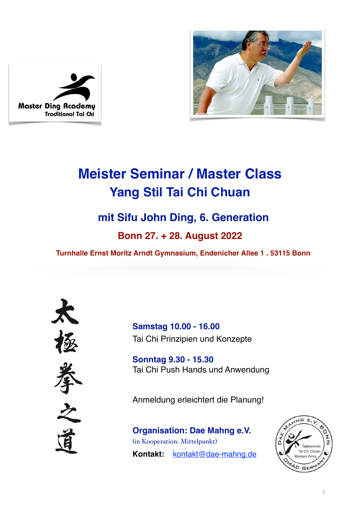



# **Meister Seminar / Master Class Yang Stil Tai Chi Chuan**

# **mit Sifu John Ding, 6. Generation**

# **Bonn 27. + 28. August 2022**

 **Turnhalle Ernst Moritz Arndt Gymnasium, Endenicher Allee 1 . 53115 Bonn**



**Samstag 10.00 - 16.00** Tai Chi Prinzipien und Konzepte

**Sonntag 9.30 - 15.30** Tai Chi Push Hands und Anwendung

Anmeldung erleichtert die Planung!

**Organisation: Dae Mahng e.V.** (in Kooperation: Mittelpunkt) **Kontakt:** [kontakt@dae-mahng.de](mailto:simone@dae-mahng.de)